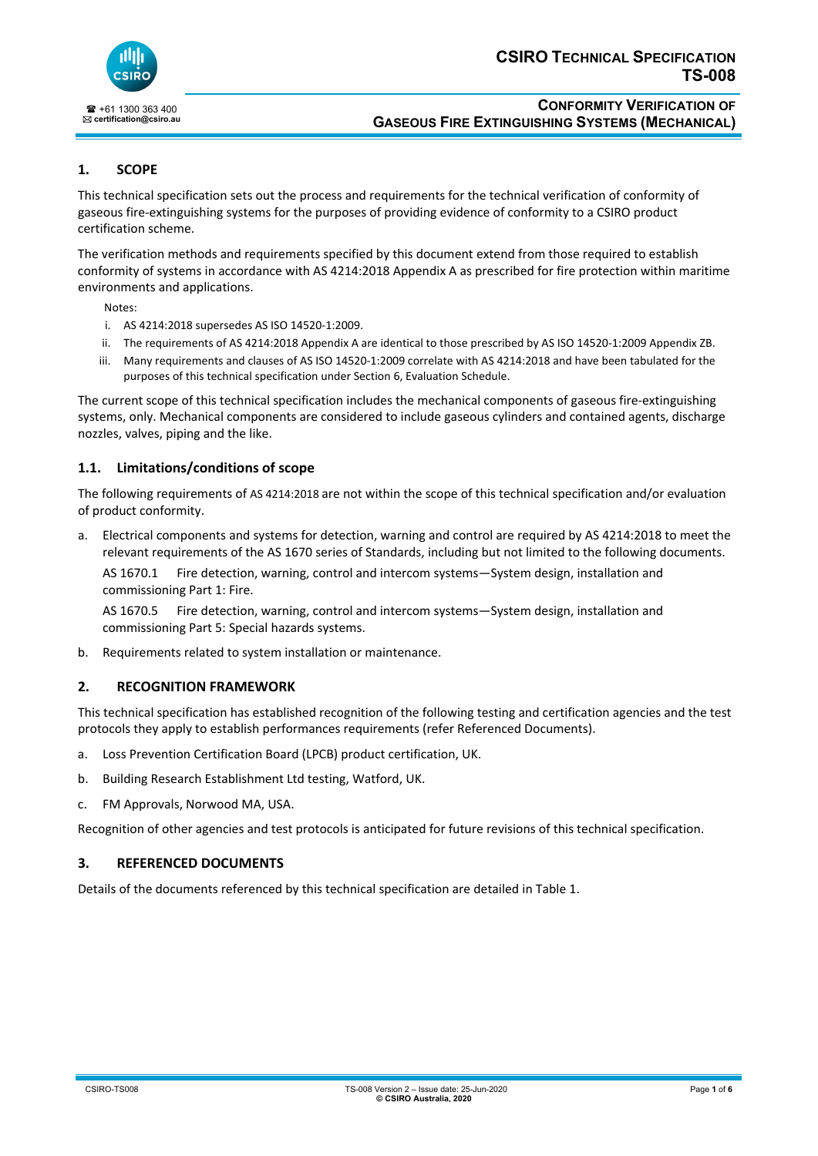

# **1. SCOPE**

This technical specification sets out the process and requirements for the technical verification of conformity of gaseous fire‐extinguishing systems for the purposes of providing evidence of conformity to a CSIRO product certification scheme.

The verification methods and requirements specified by this document extend from those required to establish conformity of systems in accordance with AS 4214:2018 Appendix A as prescribed for fire protection within maritime environments and applications.

Notes:

- i. AS 4214:2018 supersedes AS ISO 14520‐1:2009.
- ii. The requirements of AS 4214:2018 Appendix A are identical to those prescribed by AS ISO 14520‐1:2009 Appendix ZB.
- iii. Many requirements and clauses of AS ISO 14520-1:2009 correlate with AS 4214:2018 and have been tabulated for the purposes of this technical specification under Section 6, Evaluation Schedule.

The current scope of this technical specification includes the mechanical components of gaseous fire‐extinguishing systems, only. Mechanical components are considered to include gaseous cylinders and contained agents, discharge nozzles, valves, piping and the like.

# **1.1. Limitations/conditions of scope**

The following requirements of AS 4214:2018 are not within the scope of this technical specification and/or evaluation of product conformity.

a. Electrical components and systems for detection, warning and control are required by AS 4214:2018 to meet the relevant requirements of the AS 1670 series of Standards, including but not limited to the following documents.

AS 1670.1 Fire detection, warning, control and intercom systems—System design, installation and commissioning Part 1: Fire.

AS 1670.5 Fire detection, warning, control and intercom systems—System design, installation and commissioning Part 5: Special hazards systems.

b. Requirements related to system installation or maintenance.

### **2. RECOGNITION FRAMEWORK**

This technical specification has established recognition of the following testing and certification agencies and the test protocols they apply to establish performances requirements (refer Referenced Documents).

- a. Loss Prevention Certification Board (LPCB) product certification, UK.
- b. Building Research Establishment Ltd testing, Watford, UK.
- c. FM Approvals, Norwood MA, USA.

Recognition of other agencies and test protocols is anticipated for future revisions of this technical specification.

# **3. REFERENCED DOCUMENTS**

Details of the documents referenced by this technical specification are detailed in Table 1.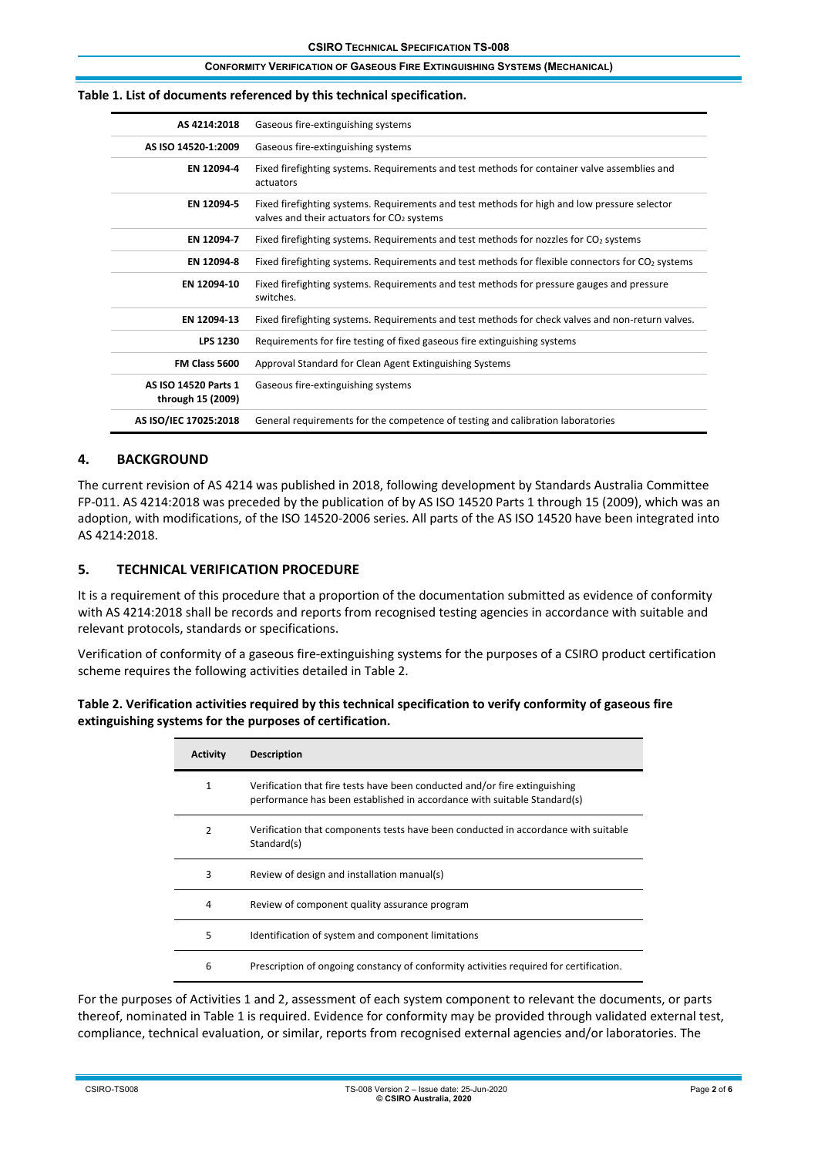#### **Table 1. List of documents referenced by this technical specification.**

| AS 4214:2018                              | Gaseous fire-extinguishing systems                                                                                                                     |
|-------------------------------------------|--------------------------------------------------------------------------------------------------------------------------------------------------------|
| AS ISO 14520-1:2009                       | Gaseous fire-extinguishing systems                                                                                                                     |
| EN 12094-4                                | Fixed firefighting systems. Requirements and test methods for container valve assemblies and<br>actuators                                              |
| EN 12094-5                                | Fixed firefighting systems. Requirements and test methods for high and low pressure selector<br>valves and their actuators for CO <sub>2</sub> systems |
| EN 12094-7                                | Fixed firefighting systems. Requirements and test methods for nozzles for $CO2$ systems                                                                |
| EN 12094-8                                | Fixed firefighting systems. Requirements and test methods for flexible connectors for CO <sub>2</sub> systems                                          |
| EN 12094-10                               | Fixed firefighting systems. Requirements and test methods for pressure gauges and pressure<br>switches.                                                |
| EN 12094-13                               | Fixed firefighting systems. Requirements and test methods for check valves and non-return valves.                                                      |
| <b>LPS 1230</b>                           | Requirements for fire testing of fixed gaseous fire extinguishing systems                                                                              |
| FM Class 5600                             | Approval Standard for Clean Agent Extinguishing Systems                                                                                                |
| AS ISO 14520 Parts 1<br>through 15 (2009) | Gaseous fire-extinguishing systems                                                                                                                     |
| AS ISO/IEC 17025:2018                     | General requirements for the competence of testing and calibration laboratories                                                                        |

#### **4. BACKGROUND**

The current revision of AS 4214 was published in 2018, following development by Standards Australia Committee FP-011. AS 4214:2018 was preceded by the publication of by AS ISO 14520 Parts 1 through 15 (2009), which was an adoption, with modifications, of the ISO 14520‐2006 series. All parts of the AS ISO 14520 have been integrated into AS 4214:2018.

# **5. TECHNICAL VERIFICATION PROCEDURE**

It is a requirement of this procedure that a proportion of the documentation submitted as evidence of conformity with AS 4214:2018 shall be records and reports from recognised testing agencies in accordance with suitable and relevant protocols, standards or specifications.

Verification of conformity of a gaseous fire‐extinguishing systems for the purposes of a CSIRO product certification scheme requires the following activities detailed in Table 2.

**Table 2. Verification activities required by this technical specification to verify conformity of gaseous fire extinguishing systems for the purposes of certification.**

| <b>Activity</b> | <b>Description</b>                                                                                                                                     |
|-----------------|--------------------------------------------------------------------------------------------------------------------------------------------------------|
| 1               | Verification that fire tests have been conducted and/or fire extinguishing<br>performance has been established in accordance with suitable Standard(s) |
| $\overline{2}$  | Verification that components tests have been conducted in accordance with suitable<br>Standard(s)                                                      |
| 3               | Review of design and installation manual(s)                                                                                                            |
| 4               | Review of component quality assurance program                                                                                                          |
| 5               | Identification of system and component limitations                                                                                                     |
| 6               | Prescription of ongoing constancy of conformity activities required for certification.                                                                 |

For the purposes of Activities 1 and 2, assessment of each system component to relevant the documents, or parts thereof, nominated in Table 1 is required. Evidence for conformity may be provided through validated external test, compliance, technical evaluation, or similar, reports from recognised external agencies and/or laboratories. The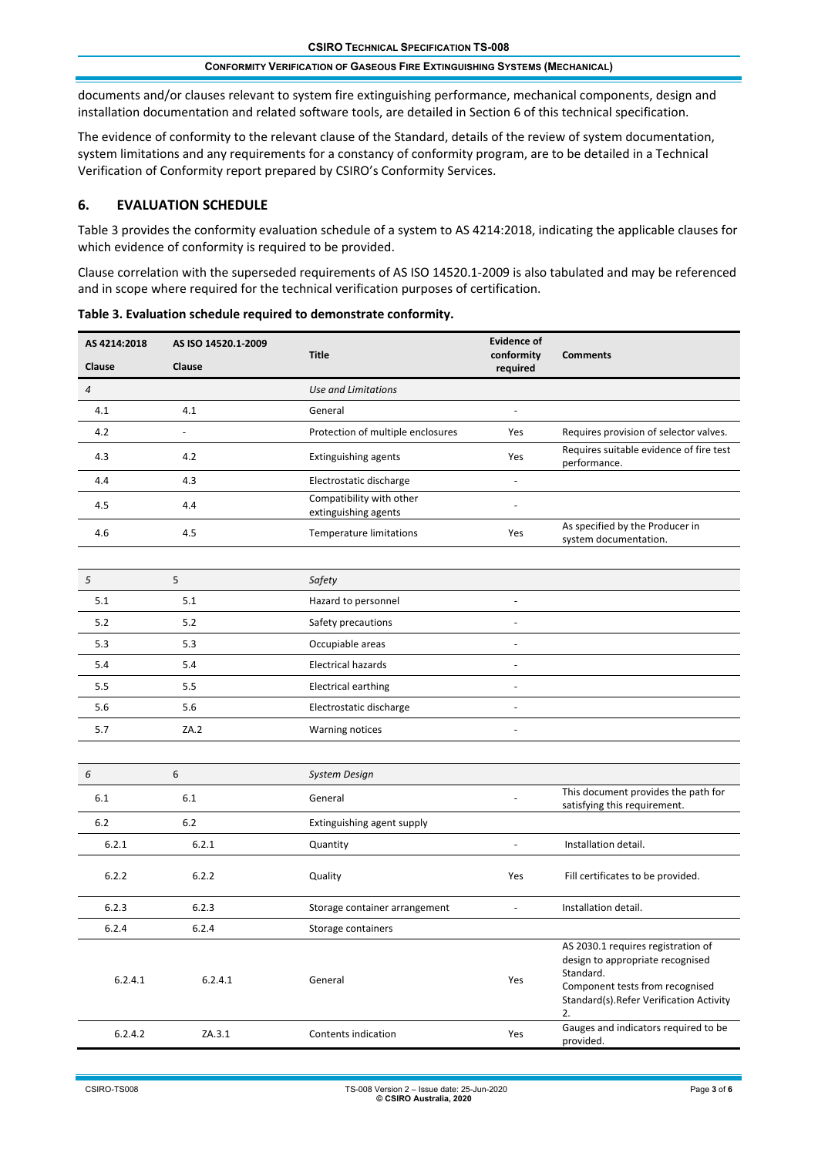documents and/or clauses relevant to system fire extinguishing performance, mechanical components, design and installation documentation and related software tools, are detailed in Section 6 of this technical specification.

The evidence of conformity to the relevant clause of the Standard, details of the review of system documentation, system limitations and any requirements for a constancy of conformity program, are to be detailed in a Technical Verification of Conformity report prepared by CSIRO's Conformity Services.

# **6. EVALUATION SCHEDULE**

Table 3 provides the conformity evaluation schedule of a system to AS 4214:2018, indicating the applicable clauses for which evidence of conformity is required to be provided.

Clause correlation with the superseded requirements of AS ISO 14520.1‐2009 is also tabulated and may be referenced and in scope where required for the technical verification purposes of certification.

| AS 4214:2018   | AS ISO 14520.1-2009 |                                                  | <b>Evidence of</b>       |                                                                                                                                                                         |
|----------------|---------------------|--------------------------------------------------|--------------------------|-------------------------------------------------------------------------------------------------------------------------------------------------------------------------|
| Clause         | Clause              | <b>Title</b>                                     | conformity<br>required   | <b>Comments</b>                                                                                                                                                         |
| $\overline{4}$ |                     | Use and Limitations                              |                          |                                                                                                                                                                         |
| 4.1            | 4.1                 | General                                          |                          |                                                                                                                                                                         |
| 4.2            | ÷,                  | Protection of multiple enclosures                | Yes                      | Requires provision of selector valves.                                                                                                                                  |
| 4.3            | 4.2                 | Extinguishing agents                             | Yes                      | Requires suitable evidence of fire test<br>performance.                                                                                                                 |
| 4.4            | 4.3                 | Electrostatic discharge                          | $\blacksquare$           |                                                                                                                                                                         |
| 4.5            | 4.4                 | Compatibility with other<br>extinguishing agents |                          |                                                                                                                                                                         |
| 4.6            | 4.5                 | Temperature limitations                          | Yes                      | As specified by the Producer in<br>system documentation.                                                                                                                |
|                |                     |                                                  |                          |                                                                                                                                                                         |
| $\sqrt{5}$     | 5                   | Safety                                           |                          |                                                                                                                                                                         |
| 5.1            | 5.1                 | Hazard to personnel                              |                          |                                                                                                                                                                         |
| 5.2            | 5.2                 | Safety precautions                               |                          |                                                                                                                                                                         |
| 5.3            | 5.3                 | Occupiable areas                                 |                          |                                                                                                                                                                         |
| 5.4            | 5.4                 | <b>Electrical hazards</b>                        |                          |                                                                                                                                                                         |
| 5.5            | 5.5                 | <b>Electrical earthing</b>                       |                          |                                                                                                                                                                         |
| 5.6            | 5.6                 | Electrostatic discharge                          |                          |                                                                                                                                                                         |
| 5.7            | ZA.2                | <b>Warning notices</b>                           | ÷,                       |                                                                                                                                                                         |
|                |                     |                                                  |                          |                                                                                                                                                                         |
| 6              | 6                   | System Design                                    |                          |                                                                                                                                                                         |
| 6.1            | 6.1                 | General                                          |                          | This document provides the path for<br>satisfying this requirement.                                                                                                     |
| 6.2            | $6.2$               | Extinguishing agent supply                       |                          |                                                                                                                                                                         |
| 6.2.1          | 6.2.1               | Quantity                                         | ÷,                       | Installation detail.                                                                                                                                                    |
| 6.2.2          | 6.2.2               | Quality                                          | Yes                      | Fill certificates to be provided.                                                                                                                                       |
| 6.2.3          | 6.2.3               | Storage container arrangement                    | $\overline{\phantom{a}}$ | Installation detail.                                                                                                                                                    |
| 6.2.4          | 6.2.4               | Storage containers                               |                          |                                                                                                                                                                         |
| 6.2.4.1        | 6.2.4.1             | General                                          | Yes                      | AS 2030.1 requires registration of<br>design to appropriate recognised<br>Standard.<br>Component tests from recognised<br>Standard(s).Refer Verification Activity<br>2. |
| 6.2.4.2        | ZA.3.1              | Contents indication                              | Yes                      | Gauges and indicators required to be<br>provided.                                                                                                                       |

**Table 3. Evaluation schedule required to demonstrate conformity.**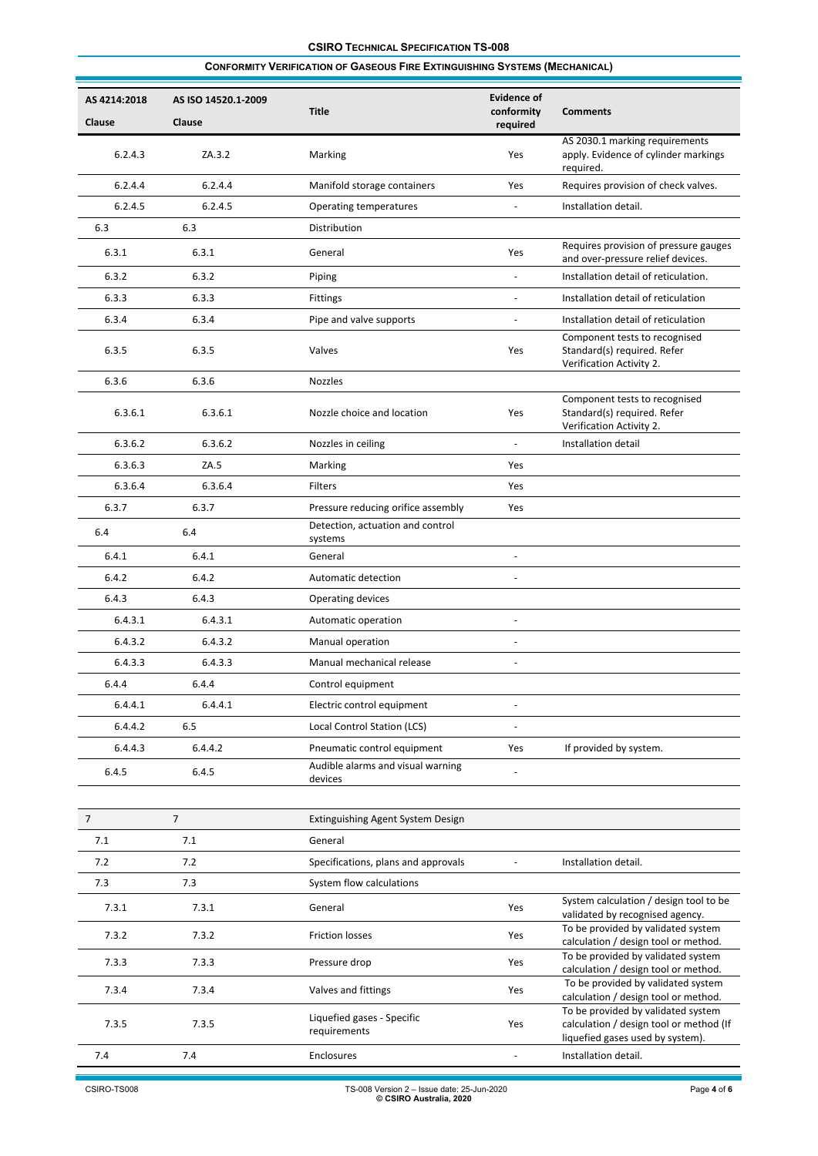# **CSIRO TECHNICAL SPECIFICATION TS-008**

#### **CONFORMITY VERIFICATION OF GASEOUS FIRE EXTINGUISHING SYSTEMS (MECHANICAL)**

| AS 4214:2018   | AS ISO 14520.1-2009 | <b>Title</b>                                 | <b>Evidence of</b><br>conformity | <b>Comments</b>                                                                                                   |
|----------------|---------------------|----------------------------------------------|----------------------------------|-------------------------------------------------------------------------------------------------------------------|
| Clause         | Clause              |                                              | required                         |                                                                                                                   |
| 6.2.4.3        | ZA.3.2              | Marking                                      | Yes                              | AS 2030.1 marking requirements<br>apply. Evidence of cylinder markings<br>required.                               |
| 6.2.4.4        | 6.2.4.4             | Manifold storage containers                  | Yes                              | Requires provision of check valves.                                                                               |
| 6.2.4.5        | 6.2.4.5             | Operating temperatures                       |                                  | Installation detail.                                                                                              |
| 6.3            | 6.3                 | Distribution                                 |                                  |                                                                                                                   |
| 6.3.1          | 6.3.1               | General                                      | Yes                              | Requires provision of pressure gauges<br>and over-pressure relief devices.                                        |
| 6.3.2          | 6.3.2               | Piping                                       |                                  | Installation detail of reticulation.                                                                              |
| 6.3.3          | 6.3.3               | <b>Fittings</b>                              | $\overline{\phantom{a}}$         | Installation detail of reticulation                                                                               |
| 6.3.4          | 6.3.4               | Pipe and valve supports                      |                                  | Installation detail of reticulation                                                                               |
| 6.3.5          | 6.3.5               | Valves                                       | Yes                              | Component tests to recognised<br>Standard(s) required. Refer<br>Verification Activity 2.                          |
| 6.3.6          | 6.3.6               | <b>Nozzles</b>                               |                                  |                                                                                                                   |
| 6.3.6.1        | 6.3.6.1             | Nozzle choice and location                   | Yes                              | Component tests to recognised<br>Standard(s) required. Refer<br>Verification Activity 2.                          |
| 6.3.6.2        | 6.3.6.2             | Nozzles in ceiling                           |                                  | Installation detail                                                                                               |
| 6.3.6.3        | ZA.5                | Marking                                      | Yes                              |                                                                                                                   |
| 6.3.6.4        | 6.3.6.4             | Filters                                      | Yes                              |                                                                                                                   |
| 6.3.7          | 6.3.7               | Pressure reducing orifice assembly           | Yes                              |                                                                                                                   |
| 6.4            | 6.4                 | Detection, actuation and control<br>systems  |                                  |                                                                                                                   |
| 6.4.1          | 6.4.1               | General                                      |                                  |                                                                                                                   |
| 6.4.2          | 6.4.2               | Automatic detection                          | $\overline{\phantom{a}}$         |                                                                                                                   |
| 6.4.3          | 6.4.3               | Operating devices                            |                                  |                                                                                                                   |
| 6.4.3.1        | 6.4.3.1             | Automatic operation                          |                                  |                                                                                                                   |
| 6.4.3.2        | 6.4.3.2             | Manual operation                             |                                  |                                                                                                                   |
| 6.4.3.3        | 6.4.3.3             | Manual mechanical release                    |                                  |                                                                                                                   |
| 6.4.4          | 6.4.4               | Control equipment                            |                                  |                                                                                                                   |
| 6.4.4.1        | 6.4.4.1             | Electric control equipment                   | ÷,                               |                                                                                                                   |
| 6.4.4.2        | 6.5                 | Local Control Station (LCS)                  | $\overline{\phantom{a}}$         |                                                                                                                   |
| 6.4.4.3        | 6.4.4.2             | Pneumatic control equipment                  | Yes                              | If provided by system.                                                                                            |
| 6.4.5          | 6.4.5               | Audible alarms and visual warning<br>devices |                                  |                                                                                                                   |
|                |                     |                                              |                                  |                                                                                                                   |
| $\overline{7}$ | $\overline{7}$      | Extinguishing Agent System Design            |                                  |                                                                                                                   |
| 7.1            | 7.1                 | General                                      |                                  |                                                                                                                   |
| 7.2            | 7.2                 | Specifications, plans and approvals          | $\blacksquare$                   | Installation detail.                                                                                              |
| 7.3            | 7.3                 | System flow calculations                     |                                  |                                                                                                                   |
| 7.3.1          | 7.3.1               | General                                      | Yes                              | System calculation / design tool to be<br>validated by recognised agency.                                         |
| 7.3.2          | 7.3.2               | <b>Friction losses</b>                       | Yes                              | To be provided by validated system<br>calculation / design tool or method.                                        |
| 7.3.3          | 7.3.3               | Pressure drop                                | Yes                              | To be provided by validated system<br>calculation / design tool or method.                                        |
| 7.3.4          | 7.3.4               | Valves and fittings                          | Yes                              | To be provided by validated system<br>calculation / design tool or method.                                        |
| 7.3.5          | 7.3.5               | Liquefied gases - Specific<br>requirements   | Yes                              | To be provided by validated system<br>calculation / design tool or method (If<br>liquefied gases used by system). |
| 7.4            | 7.4                 | Enclosures                                   | $\blacksquare$                   | Installation detail.                                                                                              |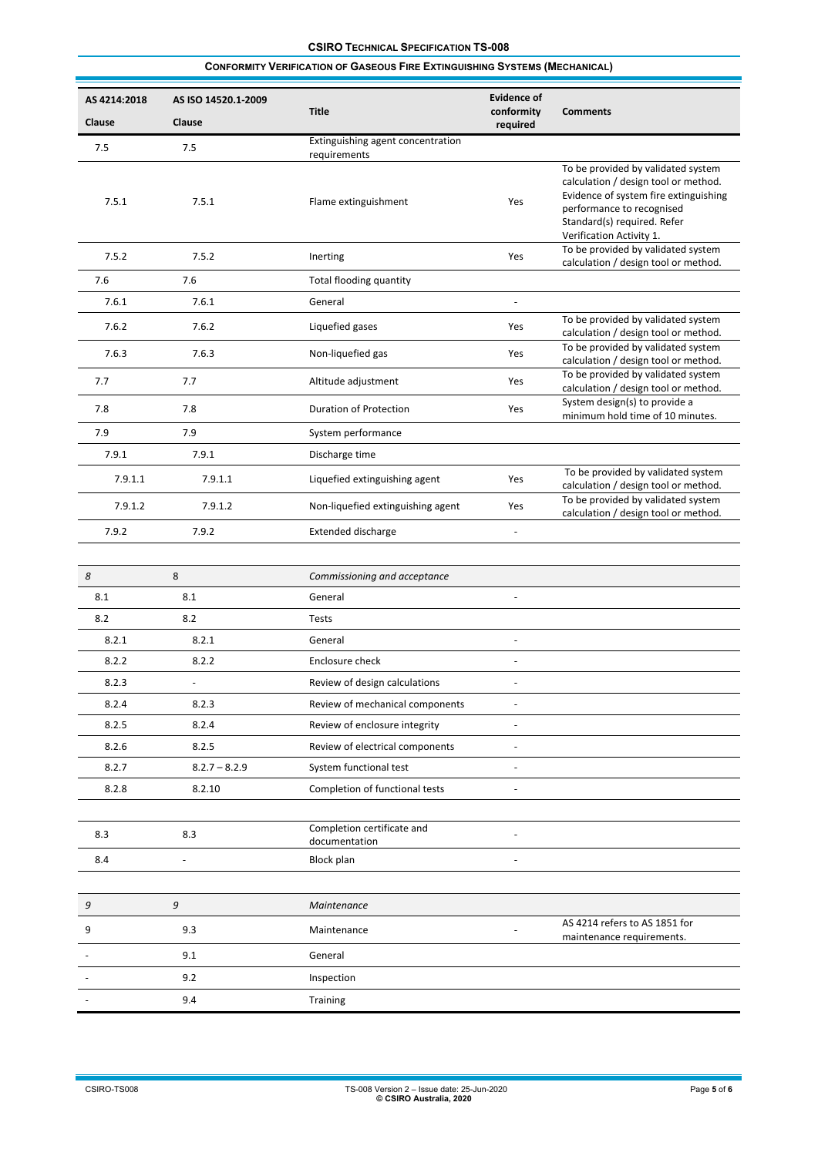| AS 4214:2018 | AS ISO 14520.1-2009<br>Clause | <b>Title</b>                                | <b>Evidence of</b><br>conformity | <b>Comments</b>                                                                                                                                                                                             |
|--------------|-------------------------------|---------------------------------------------|----------------------------------|-------------------------------------------------------------------------------------------------------------------------------------------------------------------------------------------------------------|
| Clause       |                               | Extinguishing agent concentration           | required                         |                                                                                                                                                                                                             |
| 7.5          | 7.5                           | requirements                                |                                  |                                                                                                                                                                                                             |
| 7.5.1        | 7.5.1                         | Flame extinguishment                        | Yes                              | To be provided by validated system<br>calculation / design tool or method.<br>Evidence of system fire extinguishing<br>performance to recognised<br>Standard(s) required. Refer<br>Verification Activity 1. |
| 7.5.2        | 7.5.2                         | Inerting                                    | Yes                              | To be provided by validated system<br>calculation / design tool or method.                                                                                                                                  |
| 7.6          | 7.6                           | Total flooding quantity                     |                                  |                                                                                                                                                                                                             |
| 7.6.1        | 7.6.1                         | General                                     |                                  |                                                                                                                                                                                                             |
| 7.6.2        | 7.6.2                         | Liquefied gases                             | Yes                              | To be provided by validated system<br>calculation / design tool or method.                                                                                                                                  |
| 7.6.3        | 7.6.3                         | Non-liquefied gas                           | Yes                              | To be provided by validated system<br>calculation / design tool or method.                                                                                                                                  |
| 7.7          | 7.7                           | Altitude adjustment                         | Yes                              | To be provided by validated system<br>calculation / design tool or method.                                                                                                                                  |
| 7.8          | 7.8                           | Duration of Protection                      | Yes                              | System design(s) to provide a<br>minimum hold time of 10 minutes.                                                                                                                                           |
| 7.9          | 7.9                           | System performance                          |                                  |                                                                                                                                                                                                             |
| 7.9.1        | 7.9.1                         | Discharge time                              |                                  |                                                                                                                                                                                                             |
| 7.9.1.1      | 7.9.1.1                       | Liquefied extinguishing agent               | Yes                              | To be provided by validated system<br>calculation / design tool or method.                                                                                                                                  |
| 7.9.1.2      | 7.9.1.2                       | Non-liquefied extinguishing agent           | Yes                              | To be provided by validated system<br>calculation / design tool or method.                                                                                                                                  |
| 7.9.2        | 7.9.2                         | <b>Extended discharge</b>                   | ÷,                               |                                                                                                                                                                                                             |
|              |                               |                                             |                                  |                                                                                                                                                                                                             |
| 8            | 8                             | Commissioning and acceptance                |                                  |                                                                                                                                                                                                             |
| 8.1          | 8.1                           | General                                     |                                  |                                                                                                                                                                                                             |
| 8.2          | 8.2                           | Tests                                       |                                  |                                                                                                                                                                                                             |
| 8.2.1        | 8.2.1                         | General                                     | L,                               |                                                                                                                                                                                                             |
| 8.2.2        | 8.2.2                         | Enclosure check                             |                                  |                                                                                                                                                                                                             |
| 8.2.3        |                               | Review of design calculations               |                                  |                                                                                                                                                                                                             |
| 8.2.4        | 8.2.3                         | Review of mechanical components             |                                  |                                                                                                                                                                                                             |
| 8.2.5        | 8.2.4                         | Review of enclosure integrity               |                                  |                                                                                                                                                                                                             |
| 8.2.6        | 8.2.5                         | Review of electrical components             | $\overline{\phantom{a}}$         |                                                                                                                                                                                                             |
| 8.2.7        | $8.2.7 - 8.2.9$               | System functional test                      |                                  |                                                                                                                                                                                                             |
| 8.2.8        | 8.2.10                        | Completion of functional tests              |                                  |                                                                                                                                                                                                             |
|              |                               |                                             |                                  |                                                                                                                                                                                                             |
| 8.3          | 8.3                           | Completion certificate and<br>documentation |                                  |                                                                                                                                                                                                             |
| 8.4          |                               | Block plan                                  |                                  |                                                                                                                                                                                                             |
|              |                               |                                             |                                  |                                                                                                                                                                                                             |
| 9            | $\boldsymbol{g}$              | Maintenance                                 |                                  |                                                                                                                                                                                                             |
| 9            | 9.3                           | Maintenance                                 |                                  | AS 4214 refers to AS 1851 for<br>maintenance requirements.                                                                                                                                                  |
|              | 9.1                           | General                                     |                                  |                                                                                                                                                                                                             |
|              | 9.2                           | Inspection                                  |                                  |                                                                                                                                                                                                             |
|              | 9.4                           | Training                                    |                                  |                                                                                                                                                                                                             |